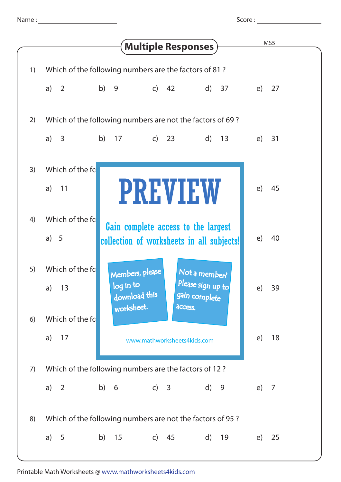Score :